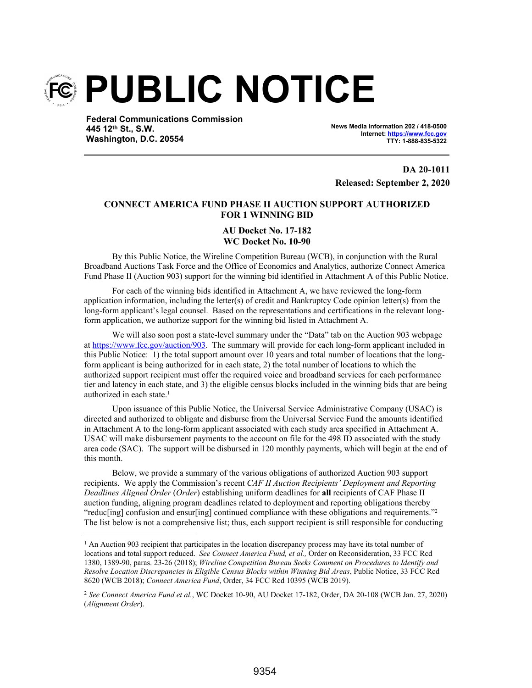

**Federal Communications Commission 445 12th St., S.W. Washington, D.C. 20554**

**News Media Information 202 / 418-0500 Internet: https://www.fcc.gov TTY: 1-888-835-5322**

**DA 20-1011 Released: September 2, 2020**

# **CONNECT AMERICA FUND PHASE II AUCTION SUPPORT AUTHORIZED FOR 1 WINNING BID**

### **AU Docket No. 17-182 WC Docket No. 10-90**

By this Public Notice, the Wireline Competition Bureau (WCB), in conjunction with the Rural Broadband Auctions Task Force and the Office of Economics and Analytics, authorize Connect America Fund Phase II (Auction 903) support for the winning bid identified in Attachment A of this Public Notice.

For each of the winning bids identified in Attachment A, we have reviewed the long-form application information, including the letter(s) of credit and Bankruptcy Code opinion letter(s) from the long-form applicant's legal counsel. Based on the representations and certifications in the relevant longform application, we authorize support for the winning bid listed in Attachment A.

We will also soon post a state-level summary under the "Data" tab on the Auction 903 webpage at https://www.fcc.gov/auction/903. The summary will provide for each long-form applicant included in this Public Notice: 1) the total support amount over 10 years and total number of locations that the longform applicant is being authorized for in each state, 2) the total number of locations to which the authorized support recipient must offer the required voice and broadband services for each performance tier and latency in each state, and 3) the eligible census blocks included in the winning bids that are being authorized in each state.<sup>1</sup>

Upon issuance of this Public Notice, the Universal Service Administrative Company (USAC) is directed and authorized to obligate and disburse from the Universal Service Fund the amounts identified in Attachment A to the long-form applicant associated with each study area specified in Attachment A. USAC will make disbursement payments to the account on file for the 498 ID associated with the study area code (SAC). The support will be disbursed in 120 monthly payments, which will begin at the end of this month.

Below, we provide a summary of the various obligations of authorized Auction 903 support recipients. We apply the Commission's recent *CAF II Auction Recipients' Deployment and Reporting Deadlines Aligned Order* (*Order*) establishing uniform deadlines for **all** recipients of CAF Phase II auction funding, aligning program deadlines related to deployment and reporting obligations thereby "reduc[ing] confusion and ensur[ing] continued compliance with these obligations and requirements."<sup>2</sup> The list below is not a comprehensive list; thus, each support recipient is still responsible for conducting

<sup>&</sup>lt;sup>1</sup> An Auction 903 recipient that participates in the location discrepancy process may have its total number of locations and total support reduced. *See Connect America Fund, et al.,* Order on Reconsideration, 33 FCC Rcd 1380, 1389-90, paras. 23-26 (2018); *Wireline Competition Bureau Seeks Comment on Procedures to Identify and Resolve Location Discrepancies in Eligible Census Blocks within Winning Bid Areas*, Public Notice, 33 FCC Rcd 8620 (WCB 2018); *Connect America Fund*, Order, 34 FCC Rcd 10395 (WCB 2019).

<sup>2</sup> *See Connect America Fund et al.*, WC Docket 10-90, AU Docket 17-182, Order, DA 20-108 (WCB Jan. 27, 2020) (*Alignment Order*).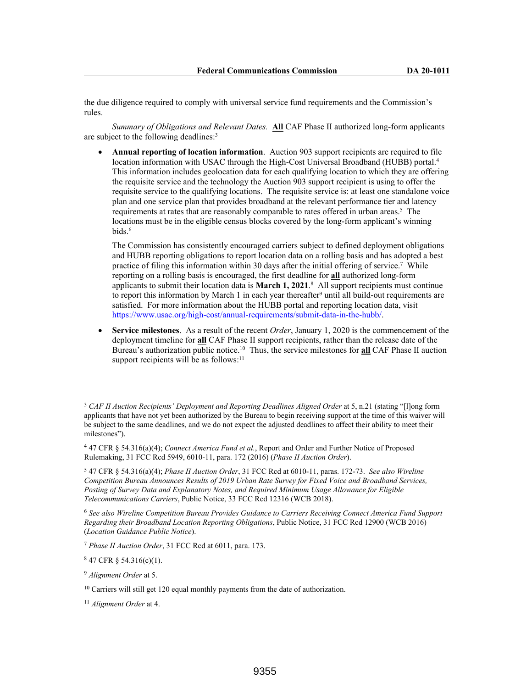the due diligence required to comply with universal service fund requirements and the Commission's rules.

*Summary of Obligations and Relevant Dates.* **All** CAF Phase II authorized long-form applicants are subject to the following deadlines:<sup>3</sup>

 **Annual reporting of location information**. Auction 903 support recipients are required to file location information with USAC through the High-Cost Universal Broadband (HUBB) portal.<sup>4</sup> This information includes geolocation data for each qualifying location to which they are offering the requisite service and the technology the Auction 903 support recipient is using to offer the requisite service to the qualifying locations. The requisite service is: at least one standalone voice plan and one service plan that provides broadband at the relevant performance tier and latency requirements at rates that are reasonably comparable to rates offered in urban areas.<sup>5</sup> The locations must be in the eligible census blocks covered by the long-form applicant's winning bids.<sup>6</sup>

The Commission has consistently encouraged carriers subject to defined deployment obligations and HUBB reporting obligations to report location data on a rolling basis and has adopted a best practice of filing this information within 30 days after the initial offering of service.<sup>7</sup> While reporting on a rolling basis is encouraged, the first deadline for **all** authorized long-form applicants to submit their location data is **March 1, 2021**. 8 All support recipients must continue to report this information by March 1 in each year thereafter<sup>9</sup> until all build-out requirements are satisfied. For more information about the HUBB portal and reporting location data, visit https://www.usac.org/high-cost/annual-requirements/submit-data-in-the-hubb/.

 **Service milestones**. As a result of the recent *Order*, January 1, 2020 is the commencement of the deployment timeline for **all** CAF Phase II support recipients, rather than the release date of the Bureau's authorization public notice.<sup>10</sup> Thus, the service milestones for **all** CAF Phase II auction support recipients will be as follows: $11$ 

 $847$  CFR § 54.316(c)(1).

<sup>3</sup> *CAF II Auction Recipients' Deployment and Reporting Deadlines Aligned Order* at 5, n.21 (stating "[l]ong form applicants that have not yet been authorized by the Bureau to begin receiving support at the time of this waiver will be subject to the same deadlines, and we do not expect the adjusted deadlines to affect their ability to meet their milestones").

<sup>4</sup> 47 CFR § 54.316(a)(4); *Connect America Fund et al.*, Report and Order and Further Notice of Proposed Rulemaking, 31 FCC Rcd 5949, 6010-11, para. 172 (2016) (*Phase II Auction Order*).

<sup>5</sup> 47 CFR § 54.316(a)(4); *Phase II Auction Order*, 31 FCC Rcd at 6010-11, paras. 172-73. *See also Wireline Competition Bureau Announces Results of 2019 Urban Rate Survey for Fixed Voice and Broadband Services, Posting of Survey Data and Explanatory Notes, and Required Minimum Usage Allowance for Eligible Telecommunications Carriers*, Public Notice, 33 FCC Rcd 12316 (WCB 2018).

<sup>6</sup> *See also Wireline Competition Bureau Provides Guidance to Carriers Receiving Connect America Fund Support Regarding their Broadband Location Reporting Obligations*, Public Notice, 31 FCC Rcd 12900 (WCB 2016) (*Location Guidance Public Notice*).

<sup>7</sup> *Phase II Auction Order*, 31 FCC Rcd at 6011, para. 173.

<sup>9</sup> *Alignment Order* at 5.

<sup>&</sup>lt;sup>10</sup> Carriers will still get 120 equal monthly payments from the date of authorization.

<sup>11</sup> *Alignment Order* at 4.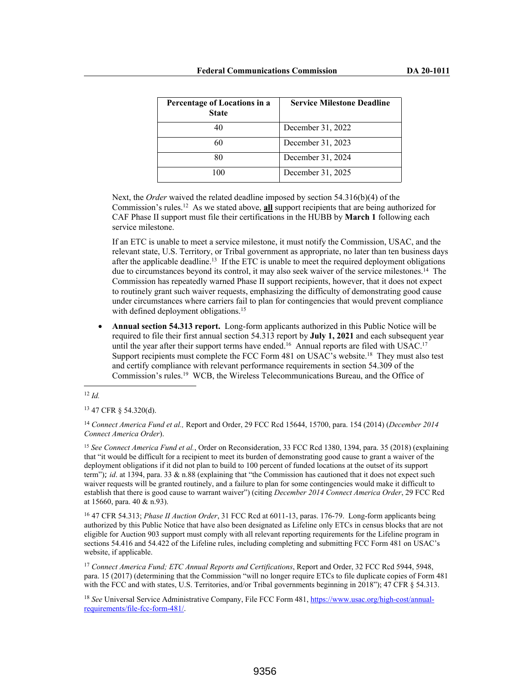| Percentage of Locations in a<br><b>State</b> | <b>Service Milestone Deadline</b> |
|----------------------------------------------|-----------------------------------|
| 40                                           | December 31, 2022                 |
| 60                                           | December 31, 2023                 |
| 80                                           | December 31, 2024                 |
| 100                                          | December 31, 2025                 |

Next, the *Order* waived the related deadline imposed by section 54.316(b)(4) of the Commission's rules.<sup>12</sup> As we stated above, **all** support recipients that are being authorized for CAF Phase II support must file their certifications in the HUBB by **March 1** following each service milestone.

If an ETC is unable to meet a service milestone, it must notify the Commission, USAC, and the relevant state, U.S. Territory, or Tribal government as appropriate, no later than ten business days after the applicable deadline.<sup>13</sup> If the ETC is unable to meet the required deployment obligations due to circumstances beyond its control, it may also seek waiver of the service milestones.<sup>14</sup> The Commission has repeatedly warned Phase II support recipients, however, that it does not expect to routinely grant such waiver requests, emphasizing the difficulty of demonstrating good cause under circumstances where carriers fail to plan for contingencies that would prevent compliance with defined deployment obligations.<sup>15</sup>

 **Annual section 54.313 report.** Long-form applicants authorized in this Public Notice will be required to file their first annual section 54.313 report by **July 1, 2021** and each subsequent year until the year after their support terms have ended.<sup>16</sup> Annual reports are filed with USAC.<sup>17</sup> Support recipients must complete the FCC Form 481 on USAC's website.<sup>18</sup> They must also test and certify compliance with relevant performance requirements in section 54.309 of the Commission's rules.<sup>19</sup> WCB, the Wireless Telecommunications Bureau, and the Office of

<sup>12</sup> *Id.*

<sup>13</sup> 47 CFR § 54.320(d).

<sup>14</sup> *Connect America Fund et al.,* Report and Order, 29 FCC Rcd 15644, 15700, para. 154 (2014) (*December 2014 Connect America Order*).

<sup>15</sup> *See Connect America Fund et al.*, Order on Reconsideration, 33 FCC Rcd 1380, 1394, para. 35 (2018) (explaining that "it would be difficult for a recipient to meet its burden of demonstrating good cause to grant a waiver of the deployment obligations if it did not plan to build to 100 percent of funded locations at the outset of its support term"); *id*. at 1394, para. 33 & n.88 (explaining that "the Commission has cautioned that it does not expect such waiver requests will be granted routinely, and a failure to plan for some contingencies would make it difficult to establish that there is good cause to warrant waiver") (citing *December 2014 Connect America Order*, 29 FCC Rcd at 15660, para. 40 & n.93).

<sup>16</sup> 47 CFR 54.313; *Phase II Auction Order*, 31 FCC Rcd at 6011-13, paras. 176-79. Long-form applicants being authorized by this Public Notice that have also been designated as Lifeline only ETCs in census blocks that are not eligible for Auction 903 support must comply with all relevant reporting requirements for the Lifeline program in sections 54.416 and 54.422 of the Lifeline rules, including completing and submitting FCC Form 481 on USAC's website, if applicable.

<sup>17</sup> *Connect America Fund; ETC Annual Reports and Certifications*, Report and Order, 32 FCC Rcd 5944, 5948, para. 15 (2017) (determining that the Commission "will no longer require ETCs to file duplicate copies of Form 481 with the FCC and with states, U.S. Territories, and/or Tribal governments beginning in 2018"); 47 CFR § 54.313.

<sup>18</sup> *See* Universal Service Administrative Company, File FCC Form 481, https://www.usac.org/high-cost/annualrequirements/file-fcc-form-481/.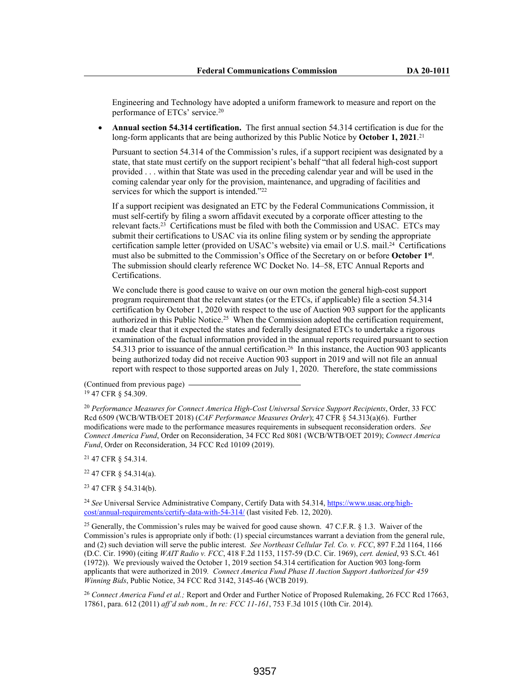Engineering and Technology have adopted a uniform framework to measure and report on the performance of ETCs' service.<sup>20</sup>

 **Annual section 54.314 certification.** The first annual section 54.314 certification is due for the long-form applicants that are being authorized by this Public Notice by **October 1, 2021**.<sup>21</sup>

Pursuant to section 54.314 of the Commission's rules, if a support recipient was designated by a state, that state must certify on the support recipient's behalf "that all federal high-cost support provided . . . within that State was used in the preceding calendar year and will be used in the coming calendar year only for the provision, maintenance, and upgrading of facilities and services for which the support is intended."<sup>22</sup>

If a support recipient was designated an ETC by the Federal Communications Commission, it must self-certify by filing a sworn affidavit executed by a corporate officer attesting to the relevant facts.<sup>23</sup> Certifications must be filed with both the Commission and USAC. ETCs may submit their certifications to USAC via its online filing system or by sending the appropriate certification sample letter (provided on USAC's website) via email or U.S. mail.<sup>24</sup> Certifications must also be submitted to the Commission's Office of the Secretary on or before **October 1st** . The submission should clearly reference WC Docket No. 14–58, ETC Annual Reports and Certifications.

We conclude there is good cause to waive on our own motion the general high-cost support program requirement that the relevant states (or the ETCs, if applicable) file a section 54.314 certification by October 1, 2020 with respect to the use of Auction 903 support for the applicants authorized in this Public Notice.<sup>25</sup> When the Commission adopted the certification requirement, it made clear that it expected the states and federally designated ETCs to undertake a rigorous examination of the factual information provided in the annual reports required pursuant to section 54.313 prior to issuance of the annual certification.<sup>26</sup> In this instance, the Auction 903 applicants being authorized today did not receive Auction 903 support in 2019 and will not file an annual report with respect to those supported areas on July 1, 2020. Therefore, the state commissions

(Continued from previous page) <sup>19</sup> 47 CFR § 54.309.

<sup>20</sup> *Performance Measures for Connect America High-Cost Universal Service Support Recipients*, Order, 33 FCC Rcd 6509 (WCB/WTB/OET 2018) (*CAF Performance Measures Order*); 47 CFR § 54.313(a)(6). Further modifications were made to the performance measures requirements in subsequent reconsideration orders. *See Connect America Fund*, Order on Reconsideration, 34 FCC Rcd 8081 (WCB/WTB/OET 2019); *Connect America Fund*, Order on Reconsideration, 34 FCC Rcd 10109 (2019).

<sup>21</sup> 47 CFR § 54.314.

<sup>22</sup> 47 CFR § 54.314(a).

<sup>23</sup> 47 CFR § 54.314(b).

<sup>24</sup> *See* Universal Service Administrative Company, Certify Data with 54.314, https://www.usac.org/highcost/annual-requirements/certify-data-with-54-314/ (last visited Feb. 12, 2020).

<sup>25</sup> Generally, the Commission's rules may be waived for good cause shown. 47 C.F.R. § 1.3. Waiver of the Commission's rules is appropriate only if both: (1) special circumstances warrant a deviation from the general rule, and (2) such deviation will serve the public interest. *See Northeast Cellular Tel. Co. v. FCC*, 897 F.2d 1164, 1166 (D.C. Cir. 1990) (citing *WAIT Radio v. FCC*, 418 F.2d 1153, 1157-59 (D.C. Cir. 1969), *cert. denied*, 93 S.Ct. 461 (1972)). We previously waived the October 1, 2019 section 54.314 certification for Auction 903 long-form applicants that were authorized in 2019*. Connect America Fund Phase II Auction Support Authorized for 459 Winning Bids*, Public Notice, 34 FCC Rcd 3142, 3145-46 (WCB 2019).

<sup>26</sup> *Connect America Fund et al.;* Report and Order and Further Notice of Proposed Rulemaking, 26 FCC Rcd 17663, 17861, para. 612 (2011) *aff'd sub nom., In re: FCC 11-161*, 753 F.3d 1015 (10th Cir. 2014).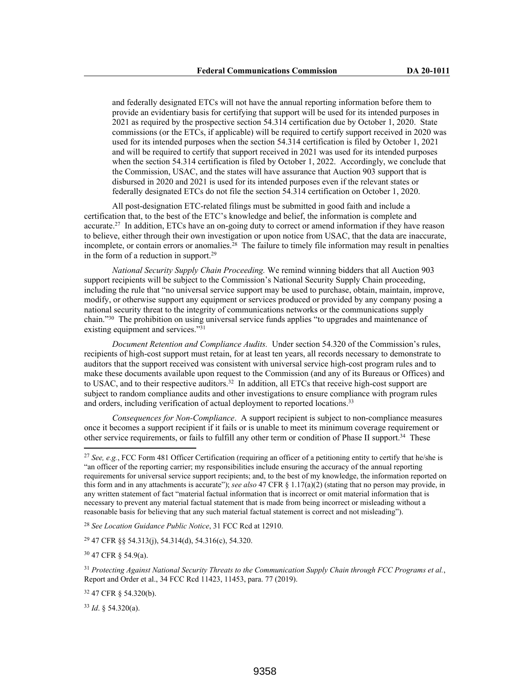and federally designated ETCs will not have the annual reporting information before them to provide an evidentiary basis for certifying that support will be used for its intended purposes in 2021 as required by the prospective section 54.314 certification due by October 1, 2020. State commissions (or the ETCs, if applicable) will be required to certify support received in 2020 was used for its intended purposes when the section 54.314 certification is filed by October 1, 2021 and will be required to certify that support received in 2021 was used for its intended purposes when the section 54.314 certification is filed by October 1, 2022. Accordingly, we conclude that the Commission, USAC, and the states will have assurance that Auction 903 support that is disbursed in 2020 and 2021 is used for its intended purposes even if the relevant states or federally designated ETCs do not file the section 54.314 certification on October 1, 2020.

All post-designation ETC-related filings must be submitted in good faith and include a certification that, to the best of the ETC's knowledge and belief, the information is complete and accurate.<sup>27</sup> In addition, ETCs have an on-going duty to correct or amend information if they have reason to believe, either through their own investigation or upon notice from USAC, that the data are inaccurate, incomplete, or contain errors or anomalies.<sup>28</sup> The failure to timely file information may result in penalties in the form of a reduction in support.<sup>29</sup>

*National Security Supply Chain Proceeding.* We remind winning bidders that all Auction 903 support recipients will be subject to the Commission's National Security Supply Chain proceeding, including the rule that "no universal service support may be used to purchase, obtain, maintain, improve, modify, or otherwise support any equipment or services produced or provided by any company posing a national security threat to the integrity of communications networks or the communications supply chain."<sup>30</sup> The prohibition on using universal service funds applies "to upgrades and maintenance of existing equipment and services."<sup>31</sup>

*Document Retention and Compliance Audits.* Under section 54.320 of the Commission's rules, recipients of high-cost support must retain, for at least ten years, all records necessary to demonstrate to auditors that the support received was consistent with universal service high-cost program rules and to make these documents available upon request to the Commission (and any of its Bureaus or Offices) and to USAC, and to their respective auditors.<sup>32</sup> In addition, all ETCs that receive high-cost support are subject to random compliance audits and other investigations to ensure compliance with program rules and orders, including verification of actual deployment to reported locations.<sup>33</sup>

*Consequences for Non-Compliance*. A support recipient is subject to non-compliance measures once it becomes a support recipient if it fails or is unable to meet its minimum coverage requirement or other service requirements, or fails to fulfill any other term or condition of Phase II support.<sup>34</sup> These

<sup>28</sup> *See Location Guidance Public Notice*, 31 FCC Rcd at 12910.

<sup>29</sup> 47 CFR §§ 54.313(j), 54.314(d), 54.316(c), 54.320.

<sup>30</sup> 47 CFR § 54.9(a).

<sup>31</sup> *Protecting Against National Security Threats to the Communication Supply Chain through FCC Programs et al.*, Report and Order et al., 34 FCC Rcd 11423, 11453, para. 77 (2019).

<sup>32</sup> 47 CFR § 54.320(b).

<sup>33</sup> *Id*. § 54.320(a).

<sup>27</sup> *See, e.g.*, FCC Form 481 Officer Certification (requiring an officer of a petitioning entity to certify that he/she is "an officer of the reporting carrier; my responsibilities include ensuring the accuracy of the annual reporting requirements for universal service support recipients; and, to the best of my knowledge, the information reported on this form and in any attachments is accurate"); *see also* 47 CFR § 1.17(a)(2) (stating that no person may provide, in any written statement of fact "material factual information that is incorrect or omit material information that is necessary to prevent any material factual statement that is made from being incorrect or misleading without a reasonable basis for believing that any such material factual statement is correct and not misleading").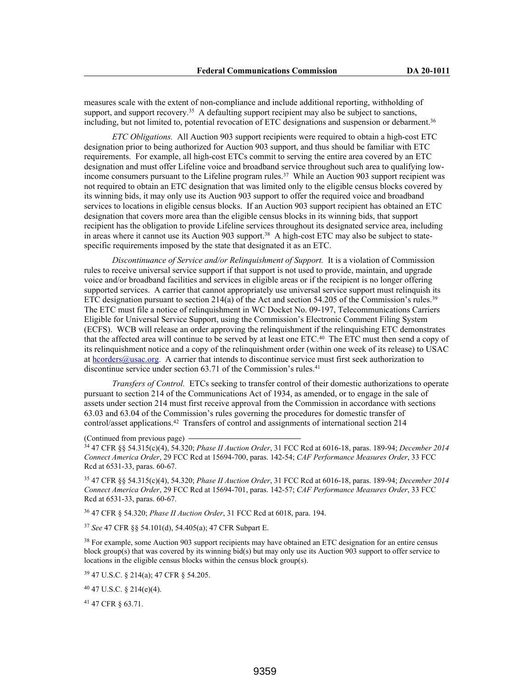measures scale with the extent of non-compliance and include additional reporting, withholding of support, and support recovery.<sup>35</sup> A defaulting support recipient may also be subject to sanctions, including, but not limited to, potential revocation of ETC designations and suspension or debarment.<sup>36</sup>

*ETC Obligations.* All Auction 903 support recipients were required to obtain a high-cost ETC designation prior to being authorized for Auction 903 support, and thus should be familiar with ETC requirements. For example, all high-cost ETCs commit to serving the entire area covered by an ETC designation and must offer Lifeline voice and broadband service throughout such area to qualifying lowincome consumers pursuant to the Lifeline program rules.<sup>37</sup> While an Auction 903 support recipient was not required to obtain an ETC designation that was limited only to the eligible census blocks covered by its winning bids, it may only use its Auction 903 support to offer the required voice and broadband services to locations in eligible census blocks. If an Auction 903 support recipient has obtained an ETC designation that covers more area than the eligible census blocks in its winning bids, that support recipient has the obligation to provide Lifeline services throughout its designated service area, including in areas where it cannot use its Auction 903 support.<sup>38</sup> A high-cost ETC may also be subject to statespecific requirements imposed by the state that designated it as an ETC.

*Discontinuance of Service and/or Relinquishment of Support.* It is a violation of Commission rules to receive universal service support if that support is not used to provide, maintain, and upgrade voice and/or broadband facilities and services in eligible areas or if the recipient is no longer offering supported services. A carrier that cannot appropriately use universal service support must relinquish its ETC designation pursuant to section  $214(a)$  of the Act and section 54.205 of the Commission's rules.<sup>39</sup> The ETC must file a notice of relinquishment in WC Docket No. 09-197, Telecommunications Carriers Eligible for Universal Service Support, using the Commission's Electronic Comment Filing System (ECFS). WCB will release an order approving the relinquishment if the relinquishing ETC demonstrates that the affected area will continue to be served by at least one ETC.<sup>40</sup> The ETC must then send a copy of its relinquishment notice and a copy of the relinquishment order (within one week of its release) to USAC at hcorders@usac.org. A carrier that intends to discontinue service must first seek authorization to discontinue service under section 63.71 of the Commission's rules.<sup>41</sup>

*Transfers of Control.* ETCs seeking to transfer control of their domestic authorizations to operate pursuant to section 214 of the Communications Act of 1934, as amended, or to engage in the sale of assets under section 214 must first receive approval from the Commission in accordance with sections 63.03 and 63.04 of the Commission's rules governing the procedures for domestic transfer of control/asset applications.<sup>42</sup> Transfers of control and assignments of international section 214

### (Continued from previous page)

<sup>34</sup> 47 CFR §§ 54.315(c)(4), 54.320; *Phase II Auction Order*, 31 FCC Rcd at 6016-18, paras. 189-94; *December 2014 Connect America Order*, 29 FCC Rcd at 15694-700, paras. 142-54; *CAF Performance Measures Order*, 33 FCC Rcd at 6531-33, paras. 60-67.

<sup>35</sup> 47 CFR §§ 54.315(c)(4), 54.320; *Phase II Auction Order*, 31 FCC Rcd at 6016-18, paras. 189-94; *December 2014 Connect America Order*, 29 FCC Rcd at 15694-701, paras. 142-57; *CAF Performance Measures Order*, 33 FCC Rcd at 6531-33, paras. 60-67.

<sup>36</sup> 47 CFR § 54.320; *Phase II Auction Order*, 31 FCC Rcd at 6018, para. 194.

<sup>37</sup> *See* 47 CFR §§ 54.101(d), 54.405(a); 47 CFR Subpart E.

<sup>38</sup> For example, some Auction 903 support recipients may have obtained an ETC designation for an entire census block group(s) that was covered by its winning bid(s) but may only use its Auction 903 support to offer service to locations in the eligible census blocks within the census block group(s).

<sup>39</sup> 47 U.S.C. § 214(a); 47 CFR § 54.205.

<sup>40</sup> 47 U.S.C. § 214(e)(4).

<sup>41</sup> 47 CFR § 63.71.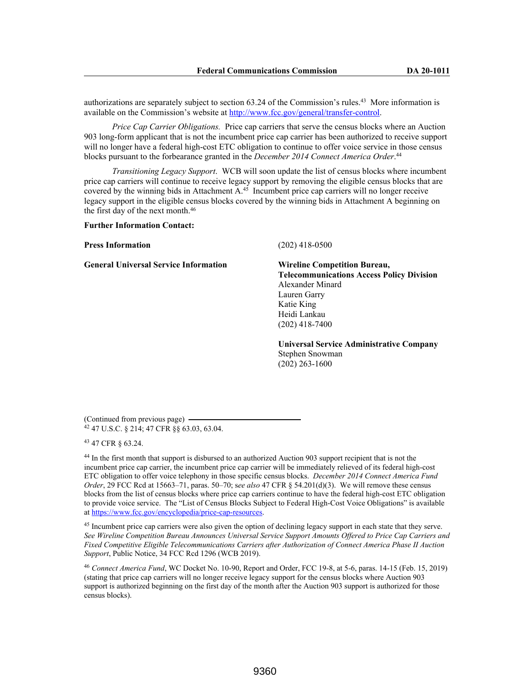authorizations are separately subject to section 63.24 of the Commission's rules.<sup>43</sup> More information is available on the Commission's website at http://www.fcc.gov/general/transfer-control.

*Price Cap Carrier Obligations.* Price cap carriers that serve the census blocks where an Auction 903 long-form applicant that is not the incumbent price cap carrier has been authorized to receive support will no longer have a federal high-cost ETC obligation to continue to offer voice service in those census blocks pursuant to the forbearance granted in the *December 2014 Connect America Order*. 44

*Transitioning Legacy Support*. WCB will soon update the list of census blocks where incumbent price cap carriers will continue to receive legacy support by removing the eligible census blocks that are covered by the winning bids in Attachment  $A<sup>45</sup>$  Incumbent price cap carriers will no longer receive legacy support in the eligible census blocks covered by the winning bids in Attachment A beginning on the first day of the next month.<sup>46</sup>

### **Further Information Contact:**

#### **Press Information** (202) 418-0500

**General Universal Service Information Wireline Competition Bureau,**

**Telecommunications Access Policy Division** Alexander Minard Lauren Garry Katie King Heidi Lankau (202) 418-7400

**Universal Service Administrative Company** Stephen Snowman (202) 263-1600

(Continued from previous page) <sup>42</sup> 47 U.S.C. § 214; 47 CFR §§ 63.03, 63.04.

<sup>43</sup> 47 CFR § 63.24.

<sup>44</sup> In the first month that support is disbursed to an authorized Auction 903 support recipient that is not the incumbent price cap carrier, the incumbent price cap carrier will be immediately relieved of its federal high-cost ETC obligation to offer voice telephony in those specific census blocks. *December 2014 Connect America Fund Order*, 29 FCC Rcd at 15663–71, paras. 50–70; s*ee also* 47 CFR § 54.201(d)(3). We will remove these census blocks from the list of census blocks where price cap carriers continue to have the federal high-cost ETC obligation to provide voice service. The "List of Census Blocks Subject to Federal High-Cost Voice Obligations" is available at https://www.fcc.gov/encyclopedia/price-cap-resources.

<sup>45</sup> Incumbent price cap carriers were also given the option of declining legacy support in each state that they serve. *See Wireline Competition Bureau Announces Universal Service Support Amounts Offered to Price Cap Carriers and Fixed Competitive Eligible Telecommunications Carriers after Authorization of Connect America Phase II Auction Support*, Public Notice, 34 FCC Rcd 1296 (WCB 2019).

<sup>46</sup> *Connect America Fund*, WC Docket No. 10-90, Report and Order, FCC 19-8, at 5-6, paras. 14-15 (Feb. 15, 2019) (stating that price cap carriers will no longer receive legacy support for the census blocks where Auction 903 support is authorized beginning on the first day of the month after the Auction 903 support is authorized for those census blocks).